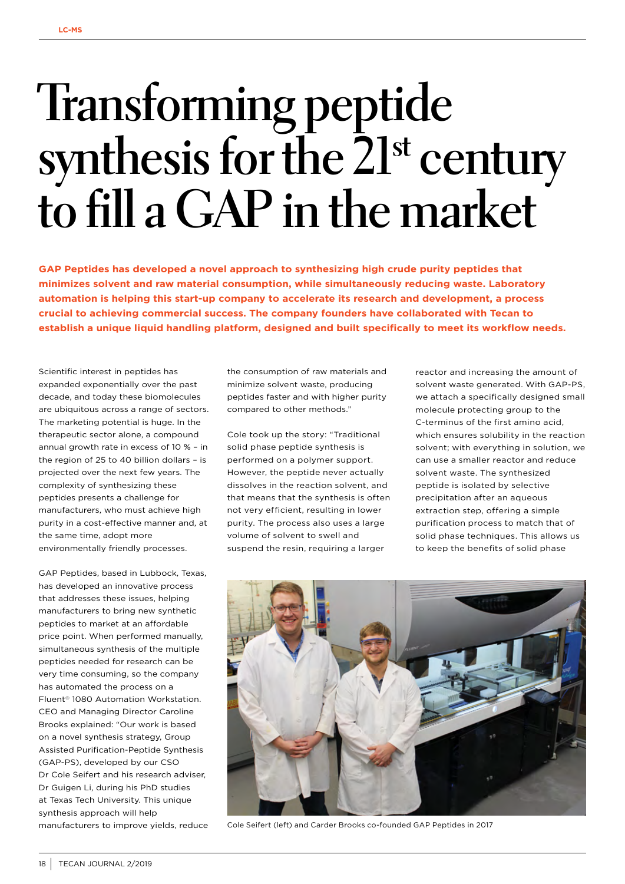## **Transforming peptide synthesis for the 21st century to fill a GAP in the market**

**GAP Peptides has developed a novel approach to synthesizing high crude purity peptides that minimizes solvent and raw material consumption, while simultaneously reducing waste. Laboratory automation is helping this start-up company to accelerate its research and development, a process crucial to achieving commercial success. The company founders have collaborated with Tecan to establish a unique liquid handling platform, designed and built specifically to meet its workflow needs.** 

Scientific interest in peptides has expanded exponentially over the past decade, and today these biomolecules are ubiquitous across a range of sectors. The marketing potential is huge. In the therapeutic sector alone, a compound annual growth rate in excess of 10 % – in the region of 25 to 40 billion dollars – is projected over the next few years. The complexity of synthesizing these peptides presents a challenge for manufacturers, who must achieve high purity in a cost-effective manner and, at the same time, adopt more environmentally friendly processes.

GAP Peptides, based in Lubbock, Texas, has developed an innovative process that addresses these issues, helping manufacturers to bring new synthetic peptides to market at an affordable price point. When performed manually, simultaneous synthesis of the multiple peptides needed for research can be very time consuming, so the company has automated the process on a Fluent® 1080 Automation Workstation. CEO and Managing Director Caroline Brooks explained: "Our work is based on a novel synthesis strategy, Group Assisted Purification-Peptide Synthesis (GAP-PS), developed by our CSO Dr Cole Seifert and his research adviser, Dr Guigen Li, during his PhD studies at Texas Tech University. This unique synthesis approach will help manufacturers to improve yields, reduce the consumption of raw materials and minimize solvent waste, producing peptides faster and with higher purity compared to other methods."

Cole took up the story: "Traditional solid phase peptide synthesis is performed on a polymer support. However, the peptide never actually dissolves in the reaction solvent, and that means that the synthesis is often not very efficient, resulting in lower purity. The process also uses a large volume of solvent to swell and suspend the resin, requiring a larger

reactor and increasing the amount of solvent waste generated. With GAP-PS, we attach a specifically designed small molecule protecting group to the C-terminus of the first amino acid, which ensures solubility in the reaction solvent; with everything in solution, we can use a smaller reactor and reduce solvent waste. The synthesized peptide is isolated by selective precipitation after an aqueous extraction step, offering a simple purification process to match that of solid phase techniques. This allows us to keep the benefits of solid phase



Cole Seifert (left) and Carder Brooks co-founded GAP Peptides in 2017